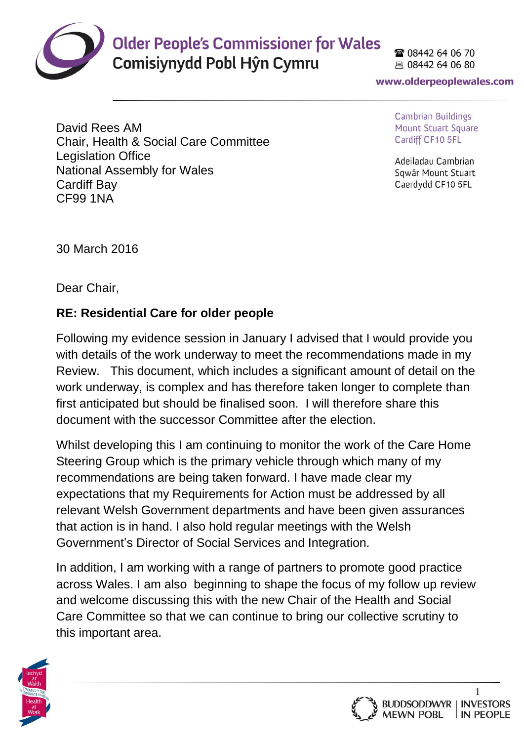

## **Older People's Commissioner for Wales**

Comisiynydd Pobl Hŷn Cymru

28 08442 64 06 70 具 08442 64 06 80

www.olderpeoplewales.com

David Rees AM Chair, Health & Social Care Committee Legislation Office National Assembly for Wales Cardiff Bay CF99 1NA

Cambrian Buildings **Mount Stuart Square** Cardiff CF10 5FL

Adeiladau Cambrian Sqwâr Mount Stuart Caerdydd CF10 5FL

30 March 2016

Dear Chair,

## **RE: Residential Care for older people**

Following my evidence session in January I advised that I would provide you with details of the work underway to meet the recommendations made in my Review. This document, which includes a significant amount of detail on the work underway, is complex and has therefore taken longer to complete than first anticipated but should be finalised soon. I will therefore share this document with the successor Committee after the election.

Whilst developing this I am continuing to monitor the work of the Care Home Steering Group which is the primary vehicle through which many of my recommendations are being taken forward. I have made clear my expectations that my Requirements for Action must be addressed by all relevant Welsh Government departments and have been given assurances that action is in hand. I also hold regular meetings with the Welsh Government's Director of Social Services and Integration.

In addition, I am working with a range of partners to promote good practice across Wales. I am also beginning to shape the focus of my follow up review and welcome discussing this with the new Chair of the Health and Social Care Committee so that we can continue to bring our collective scrutiny to this important area.